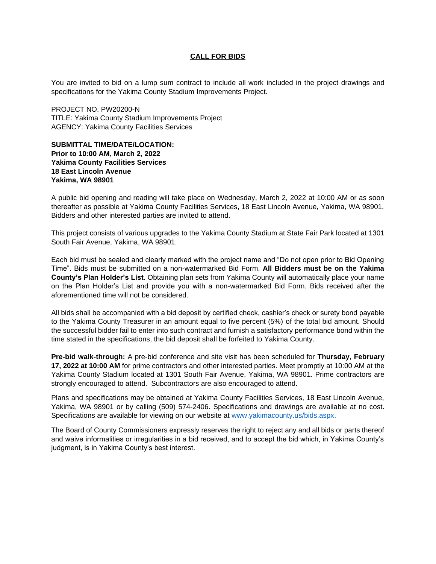## **CALL FOR BIDS**

You are invited to bid on a lump sum contract to include all work included in the project drawings and specifications for the Yakima County Stadium Improvements Project.

PROJECT NO. PW20200-N TITLE: Yakima County Stadium Improvements Project AGENCY: Yakima County Facilities Services

## **SUBMITTAL TIME/DATE/LOCATION: Prior to 10:00 AM, March 2, 2022 Yakima County Facilities Services 18 East Lincoln Avenue Yakima, WA 98901**

A public bid opening and reading will take place on Wednesday, March 2, 2022 at 10:00 AM or as soon thereafter as possible at Yakima County Facilities Services, 18 East Lincoln Avenue, Yakima, WA 98901. Bidders and other interested parties are invited to attend.

This project consists of various upgrades to the Yakima County Stadium at State Fair Park located at 1301 South Fair Avenue, Yakima, WA 98901.

Each bid must be sealed and clearly marked with the project name and "Do not open prior to Bid Opening Time". Bids must be submitted on a non-watermarked Bid Form. **All Bidders must be on the Yakima County's Plan Holder's List**. Obtaining plan sets from Yakima County will automatically place your name on the Plan Holder's List and provide you with a non-watermarked Bid Form. Bids received after the aforementioned time will not be considered.

All bids shall be accompanied with a bid deposit by certified check, cashier's check or surety bond payable to the Yakima County Treasurer in an amount equal to five percent (5%) of the total bid amount. Should the successful bidder fail to enter into such contract and furnish a satisfactory performance bond within the time stated in the specifications, the bid deposit shall be forfeited to Yakima County.

**Pre-bid walk-through:** A pre-bid conference and site visit has been scheduled for **Thursday, February 17, 2022 at 10:00 AM** for prime contractors and other interested parties. Meet promptly at 10:00 AM at the Yakima County Stadium located at 1301 South Fair Avenue, Yakima, WA 98901. Prime contractors are strongly encouraged to attend. Subcontractors are also encouraged to attend.

Plans and specifications may be obtained at Yakima County Facilities Services, 18 East Lincoln Avenue, Yakima, WA 98901 or by calling (509) 574-2406. Specifications and drawings are available at no cost. Specifications are available for viewing on our website at [www.yakimacounty.us/bids.aspx.](http://www.yakimacounty.us/bids.aspx)

The Board of County Commissioners expressly reserves the right to reject any and all bids or parts thereof and waive informalities or irregularities in a bid received, and to accept the bid which, in Yakima County's judgment, is in Yakima County's best interest.